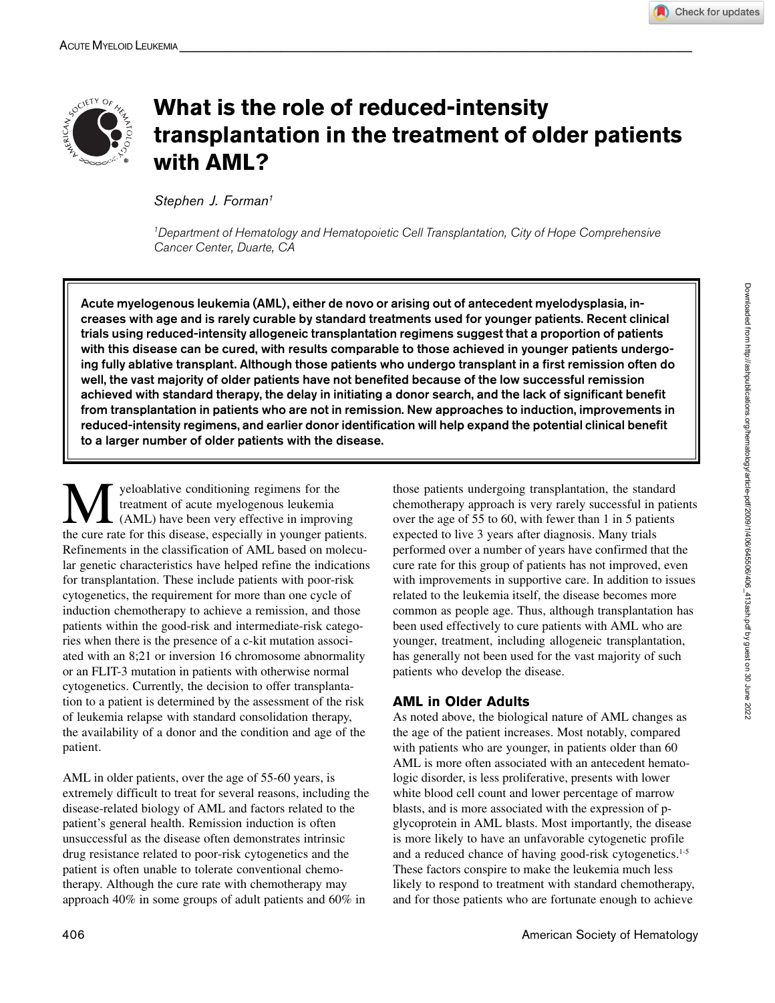



# **What is the role of reduced-intensity transplantation in the treatment of older patients with AML?**

*Stephen J. Forman1*

*1 Department of Hematology and Hematopoietic Cell Transplantation, City of Hope Comprehensive Cancer Center, Duarte, CA*

Acute myelogenous leukemia (AML), either de novo or arising out of antecedent myelodysplasia, increases with age and is rarely curable by standard treatments used for younger patients. Recent clinical trials using reduced-intensity allogeneic transplantation regimens suggest that a proportion of patients with this disease can be cured, with results comparable to those achieved in younger patients undergoing fully ablative transplant. Although those patients who undergo transplant in a first remission often do well, the vast majority of older patients have not benefited because of the low successful remission achieved with standard therapy, the delay in initiating a donor search, and the lack of significant benefit from transplantation in patients who are not in remission. New approaches to induction, improvements in reduced-intensity regimens, and earlier donor identification will help expand the potential clinical benefit to a larger number of older patients with the disease.

**M** yeloablative conditioning regimens for the treatment of acute myelogenous leukemia<br>(AML) have been very effective in improvidency curve and the curve rate for this disease, especially in younger pat treatment of acute myelogenous leukemia (AML) have been very effective in improving the cure rate for this disease, especially in younger patients. Refinements in the classification of AML based on molecular genetic characteristics have helped refine the indications for transplantation. These include patients with poor-risk cytogenetics, the requirement for more than one cycle of induction chemotherapy to achieve a remission, and those patients within the good-risk and intermediate-risk categories when there is the presence of a c-kit mutation associated with an 8;21 or inversion 16 chromosome abnormality or an FLIT-3 mutation in patients with otherwise normal cytogenetics. Currently, the decision to offer transplantation to a patient is determined by the assessment of the risk of leukemia relapse with standard consolidation therapy, the availability of a donor and the condition and age of the patient.

AML in older patients, over the age of 55-60 years, is extremely difficult to treat for several reasons, including the disease-related biology of AML and factors related to the patient's general health. Remission induction is often unsuccessful as the disease often demonstrates intrinsic drug resistance related to poor-risk cytogenetics and the patient is often unable to tolerate conventional chemotherapy. Although the cure rate with chemotherapy may approach 40% in some groups of adult patients and 60% in

those patients undergoing transplantation, the standard chemotherapy approach is very rarely successful in patients over the age of 55 to 60, with fewer than 1 in 5 patients expected to live 3 years after diagnosis. Many trials performed over a number of years have confirmed that the cure rate for this group of patients has not improved, even with improvements in supportive care. In addition to issues related to the leukemia itself, the disease becomes more common as people age. Thus, although transplantation has been used effectively to cure patients with AML who are younger, treatment, including allogeneic transplantation, has generally not been used for the vast majority of such patients who develop the disease.

## **AML in Older Adults**

As noted above, the biological nature of AML changes as the age of the patient increases. Most notably, compared with patients who are younger, in patients older than 60 AML is more often associated with an antecedent hematologic disorder, is less proliferative, presents with lower white blood cell count and lower percentage of marrow blasts, and is more associated with the expression of pglycoprotein in AML blasts. Most importantly, the disease is more likely to have an unfavorable cytogenetic profile and a reduced chance of having good-risk cytogenetics.<sup>1-5</sup> These factors conspire to make the leukemia much less likely to respond to treatment with standard chemotherapy, and for those patients who are fortunate enough to achieve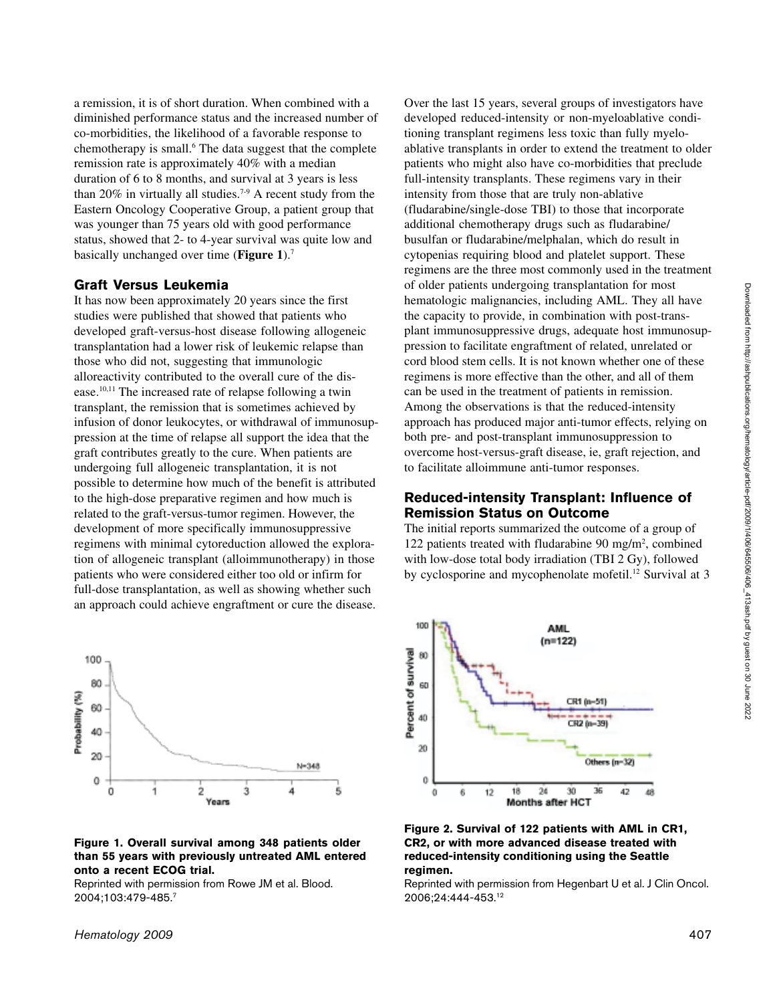a remission, it is of short duration. When combined with a diminished performance status and the increased number of co-morbidities, the likelihood of a favorable response to chemotherapy is small.<sup>6</sup> The data suggest that the complete remission rate is approximately 40% with a median duration of 6 to 8 months, and survival at 3 years is less than 20% in virtually all studies.<sup>7-9</sup> A recent study from the Eastern Oncology Cooperative Group, a patient group that was younger than 75 years old with good performance status, showed that 2- to 4-year survival was quite low and basically unchanged over time (**Figure 1**).7

## **Graft Versus Leukemia**

It has now been approximately 20 years since the first studies were published that showed that patients who developed graft-versus-host disease following allogeneic transplantation had a lower risk of leukemic relapse than those who did not, suggesting that immunologic alloreactivity contributed to the overall cure of the disease.10,11 The increased rate of relapse following a twin transplant, the remission that is sometimes achieved by infusion of donor leukocytes, or withdrawal of immunosuppression at the time of relapse all support the idea that the graft contributes greatly to the cure. When patients are undergoing full allogeneic transplantation, it is not possible to determine how much of the benefit is attributed to the high-dose preparative regimen and how much is related to the graft-versus-tumor regimen. However, the development of more specifically immunosuppressive regimens with minimal cytoreduction allowed the exploration of allogeneic transplant (alloimmunotherapy) in those patients who were considered either too old or infirm for full-dose transplantation, as well as showing whether such an approach could achieve engraftment or cure the disease.



#### **Figure 1. Overall survival among 348 patients older than 55 years with previously untreated AML entered onto a recent ECOG trial.**

Reprinted with permission from Rowe JM et al. Blood. 2004;103:479-485.7

Over the last 15 years, several groups of investigators have developed reduced-intensity or non-myeloablative conditioning transplant regimens less toxic than fully myeloablative transplants in order to extend the treatment to older patients who might also have co-morbidities that preclude full-intensity transplants. These regimens vary in their intensity from those that are truly non-ablative (fludarabine/single-dose TBI) to those that incorporate additional chemotherapy drugs such as fludarabine/ busulfan or fludarabine/melphalan, which do result in cytopenias requiring blood and platelet support. These regimens are the three most commonly used in the treatment of older patients undergoing transplantation for most hematologic malignancies, including AML. They all have the capacity to provide, in combination with post-transplant immunosuppressive drugs, adequate host immunosuppression to facilitate engraftment of related, unrelated or cord blood stem cells. It is not known whether one of these regimens is more effective than the other, and all of them can be used in the treatment of patients in remission. Among the observations is that the reduced-intensity approach has produced major anti-tumor effects, relying on both pre- and post-transplant immunosuppression to overcome host-versus-graft disease, ie, graft rejection, and to facilitate alloimmune anti-tumor responses.

## **Reduced-intensity Transplant: Influence of Remission Status on Outcome**

The initial reports summarized the outcome of a group of 122 patients treated with fludarabine 90 mg/m2 , combined with low-dose total body irradiation (TBI 2 Gy), followed by cyclosporine and mycophenolate mofetil.<sup>12</sup> Survival at 3



**Figure 2. Survival of 122 patients with AML in CR1, CR2, or with more advanced disease treated with reduced-intensity conditioning using the Seattle regimen.**

Reprinted with permission from Hegenbart U et al. J Clin Oncol. 2006;24:444-453.12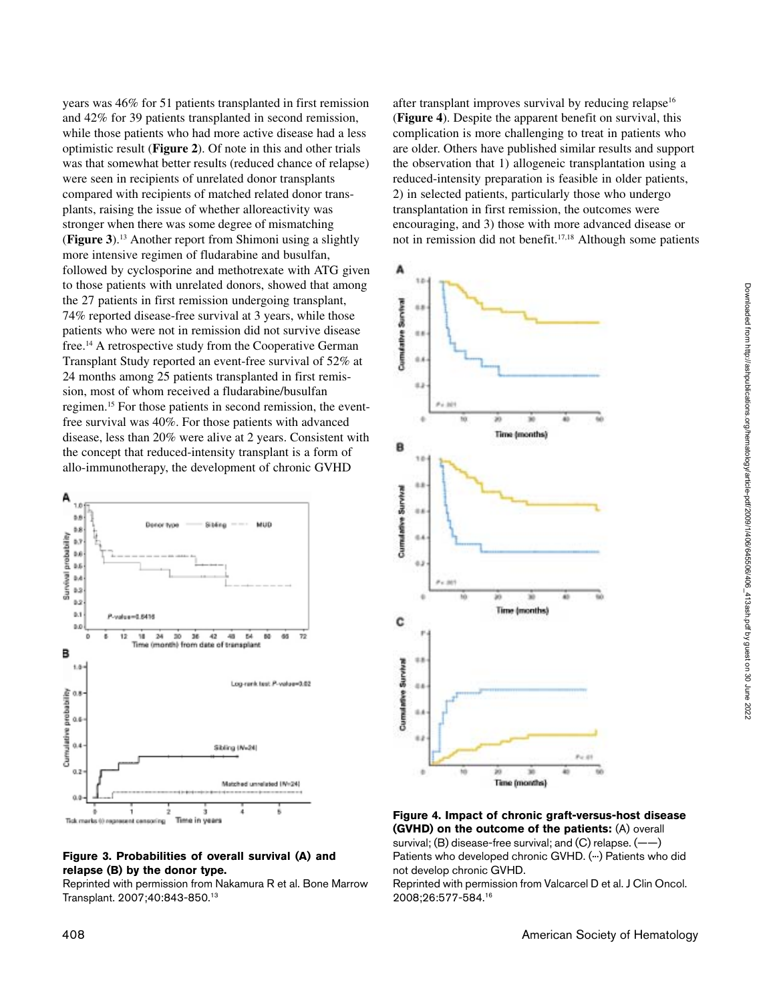years was 46% for 51 patients transplanted in first remission and 42% for 39 patients transplanted in second remission, while those patients who had more active disease had a less optimistic result (**Figure 2**). Of note in this and other trials was that somewhat better results (reduced chance of relapse) were seen in recipients of unrelated donor transplants compared with recipients of matched related donor transplants, raising the issue of whether alloreactivity was stronger when there was some degree of mismatching (**Figure 3**).13 Another report from Shimoni using a slightly more intensive regimen of fludarabine and busulfan, followed by cyclosporine and methotrexate with ATG given to those patients with unrelated donors, showed that among the 27 patients in first remission undergoing transplant, 74% reported disease-free survival at 3 years, while those patients who were not in remission did not survive disease free.14 A retrospective study from the Cooperative German Transplant Study reported an event-free survival of 52% at 24 months among 25 patients transplanted in first remission, most of whom received a fludarabine/busulfan regimen.15 For those patients in second remission, the eventfree survival was 40%. For those patients with advanced disease, less than 20% were alive at 2 years. Consistent with the concept that reduced-intensity transplant is a form of allo-immunotherapy, the development of chronic GVHD



#### **Figure 3. Probabilities of overall survival (A) and relapse (B) by the donor type.**

Reprinted with permission from Nakamura R et al. Bone Marrow Transplant. 2007;40:843-850.13

after transplant improves survival by reducing relapse<sup>16</sup> (**Figure 4**). Despite the apparent benefit on survival, this complication is more challenging to treat in patients who are older. Others have published similar results and support the observation that 1) allogeneic transplantation using a reduced-intensity preparation is feasible in older patients, 2) in selected patients, particularly those who undergo transplantation in first remission, the outcomes were encouraging, and 3) those with more advanced disease or not in remission did not benefit.17,18 Although some patients



#### **Figure 4. Impact of chronic graft-versus-host disease (GVHD) on the outcome of the patients:** (A) overall survival; (B) disease-free survival; and (C) relapse. (——) Patients who developed chronic GVHD. (...) Patients who did not develop chronic GVHD.

Reprinted with permission from Valcarcel D et al. J Clin Oncol. 2008;26:577-584.16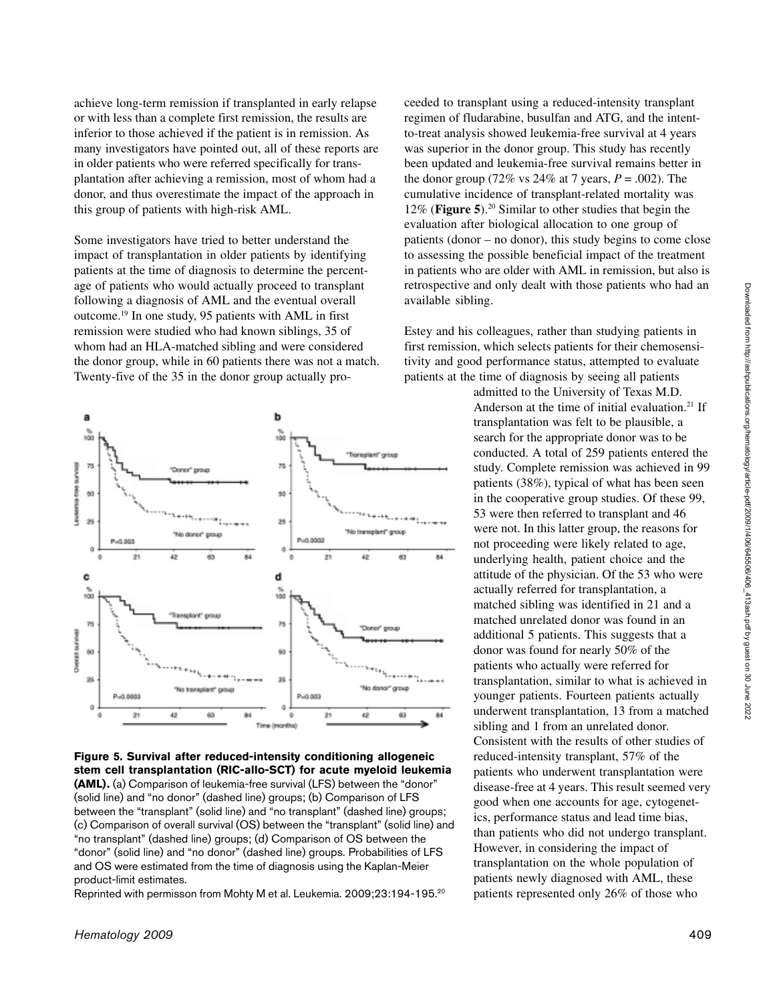achieve long-term remission if transplanted in early relapse or with less than a complete first remission, the results are inferior to those achieved if the patient is in remission. As many investigators have pointed out, all of these reports are in older patients who were referred specifically for transplantation after achieving a remission, most of whom had a donor, and thus overestimate the impact of the approach in this group of patients with high-risk AML.

Some investigators have tried to better understand the impact of transplantation in older patients by identifying patients at the time of diagnosis to determine the percentage of patients who would actually proceed to transplant following a diagnosis of AML and the eventual overall outcome.19 In one study, 95 patients with AML in first remission were studied who had known siblings, 35 of whom had an HLA-matched sibling and were considered the donor group, while in 60 patients there was not a match. Twenty-five of the 35 in the donor group actually pro-



**Figure 5. Survival after reduced-intensity conditioning allogeneic stem cell transplantation (RIC-allo-SCT) for acute myeloid leukemia (AML).** (a) Comparison of leukemia-free survival (LFS) between the "donor" (solid line) and "no donor" (dashed line) groups; (b) Comparison of LFS between the "transplant" (solid line) and "no transplant" (dashed line) groups; (c) Comparison of overall survival (OS) between the "transplant" (solid line) and "no transplant" (dashed line) groups; (d) Comparison of OS between the "donor" (solid line) and "no donor" (dashed line) groups. Probabilities of LFS and OS were estimated from the time of diagnosis using the Kaplan-Meier product-limit estimates.

Reprinted with permisson from Mohty M et al. Leukemia. 2009;23:194-195.20

ceeded to transplant using a reduced-intensity transplant regimen of fludarabine, busulfan and ATG, and the intentto-treat analysis showed leukemia-free survival at 4 years was superior in the donor group. This study has recently been updated and leukemia-free survival remains better in the donor group (72% vs 24% at 7 years, *P* = .002). The cumulative incidence of transplant-related mortality was 12% (**Figure 5**).20 Similar to other studies that begin the evaluation after biological allocation to one group of patients (donor – no donor), this study begins to come close to assessing the possible beneficial impact of the treatment in patients who are older with AML in remission, but also is retrospective and only dealt with those patients who had an available sibling.

Estey and his colleagues, rather than studying patients in first remission, which selects patients for their chemosensitivity and good performance status, attempted to evaluate patients at the time of diagnosis by seeing all patients

> admitted to the University of Texas M.D. Anderson at the time of initial evaluation. $21$  If transplantation was felt to be plausible, a search for the appropriate donor was to be conducted. A total of 259 patients entered the study. Complete remission was achieved in 99 patients (38%), typical of what has been seen in the cooperative group studies. Of these 99, 53 were then referred to transplant and 46 were not. In this latter group, the reasons for not proceeding were likely related to age, underlying health, patient choice and the attitude of the physician. Of the 53 who were actually referred for transplantation, a matched sibling was identified in 21 and a matched unrelated donor was found in an additional 5 patients. This suggests that a donor was found for nearly 50% of the patients who actually were referred for transplantation, similar to what is achieved in younger patients. Fourteen patients actually underwent transplantation, 13 from a matched sibling and 1 from an unrelated donor. Consistent with the results of other studies of reduced-intensity transplant, 57% of the patients who underwent transplantation were disease-free at 4 years. This result seemed very good when one accounts for age, cytogenetics, performance status and lead time bias, than patients who did not undergo transplant. However, in considering the impact of transplantation on the whole population of patients newly diagnosed with AML, these patients represented only 26% of those who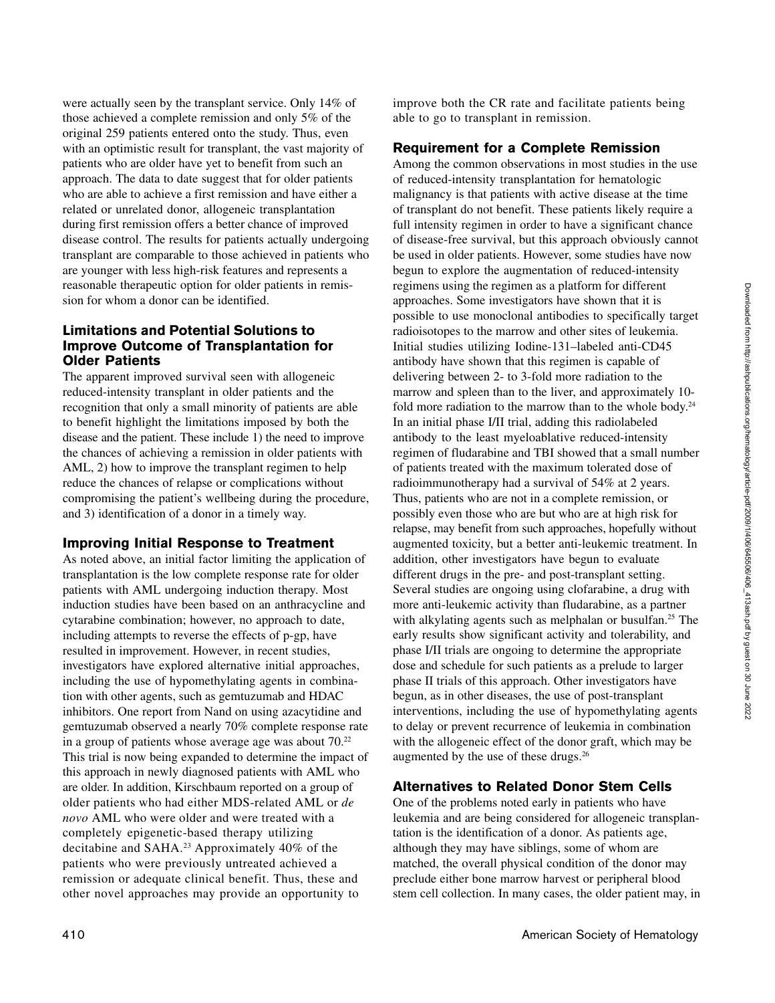were actually seen by the transplant service. Only 14% of those achieved a complete remission and only 5% of the original 259 patients entered onto the study. Thus, even with an optimistic result for transplant, the vast majority of patients who are older have yet to benefit from such an approach. The data to date suggest that for older patients who are able to achieve a first remission and have either a related or unrelated donor, allogeneic transplantation during first remission offers a better chance of improved disease control. The results for patients actually undergoing transplant are comparable to those achieved in patients who are younger with less high-risk features and represents a reasonable therapeutic option for older patients in remission for whom a donor can be identified.

## **Limitations and Potential Solutions to Improve Outcome of Transplantation for Older Patients**

The apparent improved survival seen with allogeneic reduced-intensity transplant in older patients and the recognition that only a small minority of patients are able to benefit highlight the limitations imposed by both the disease and the patient. These include 1) the need to improve the chances of achieving a remission in older patients with AML, 2) how to improve the transplant regimen to help reduce the chances of relapse or complications without compromising the patient's wellbeing during the procedure, and 3) identification of a donor in a timely way.

#### **Improving Initial Response to Treatment**

As noted above, an initial factor limiting the application of transplantation is the low complete response rate for older patients with AML undergoing induction therapy. Most induction studies have been based on an anthracycline and cytarabine combination; however, no approach to date, including attempts to reverse the effects of p-gp, have resulted in improvement. However, in recent studies, investigators have explored alternative initial approaches, including the use of hypomethylating agents in combination with other agents, such as gemtuzumab and HDAC inhibitors. One report from Nand on using azacytidine and gemtuzumab observed a nearly 70% complete response rate in a group of patients whose average age was about  $70^{22}$ This trial is now being expanded to determine the impact of this approach in newly diagnosed patients with AML who are older. In addition, Kirschbaum reported on a group of older patients who had either MDS-related AML or *de novo* AML who were older and were treated with a completely epigenetic-based therapy utilizing decitabine and SAHA.23 Approximately 40% of the patients who were previously untreated achieved a remission or adequate clinical benefit. Thus, these and other novel approaches may provide an opportunity to

improve both the CR rate and facilitate patients being able to go to transplant in remission.

## **Requirement for a Complete Remission**

Among the common observations in most studies in the use of reduced-intensity transplantation for hematologic malignancy is that patients with active disease at the time of transplant do not benefit. These patients likely require a full intensity regimen in order to have a significant chance of disease-free survival, but this approach obviously cannot be used in older patients. However, some studies have now begun to explore the augmentation of reduced-intensity regimens using the regimen as a platform for different approaches. Some investigators have shown that it is possible to use monoclonal antibodies to specifically target radioisotopes to the marrow and other sites of leukemia. Initial studies utilizing Iodine-131–labeled anti-CD45 antibody have shown that this regimen is capable of delivering between 2- to 3-fold more radiation to the marrow and spleen than to the liver, and approximately 10 fold more radiation to the marrow than to the whole body.<sup>24</sup> In an initial phase I/II trial, adding this radiolabeled antibody to the least myeloablative reduced-intensity regimen of fludarabine and TBI showed that a small number of patients treated with the maximum tolerated dose of radioimmunotherapy had a survival of 54% at 2 years. Thus, patients who are not in a complete remission, or possibly even those who are but who are at high risk for relapse, may benefit from such approaches, hopefully without augmented toxicity, but a better anti-leukemic treatment. In addition, other investigators have begun to evaluate different drugs in the pre- and post-transplant setting. Several studies are ongoing using clofarabine, a drug with more anti-leukemic activity than fludarabine, as a partner with alkylating agents such as melphalan or busulfan.<sup>25</sup> The early results show significant activity and tolerability, and phase I/II trials are ongoing to determine the appropriate dose and schedule for such patients as a prelude to larger phase II trials of this approach. Other investigators have begun, as in other diseases, the use of post-transplant interventions, including the use of hypomethylating agents to delay or prevent recurrence of leukemia in combination with the allogeneic effect of the donor graft, which may be augmented by the use of these drugs.26

## **Alternatives to Related Donor Stem Cells**

One of the problems noted early in patients who have leukemia and are being considered for allogeneic transplantation is the identification of a donor. As patients age, although they may have siblings, some of whom are matched, the overall physical condition of the donor may preclude either bone marrow harvest or peripheral blood stem cell collection. In many cases, the older patient may, in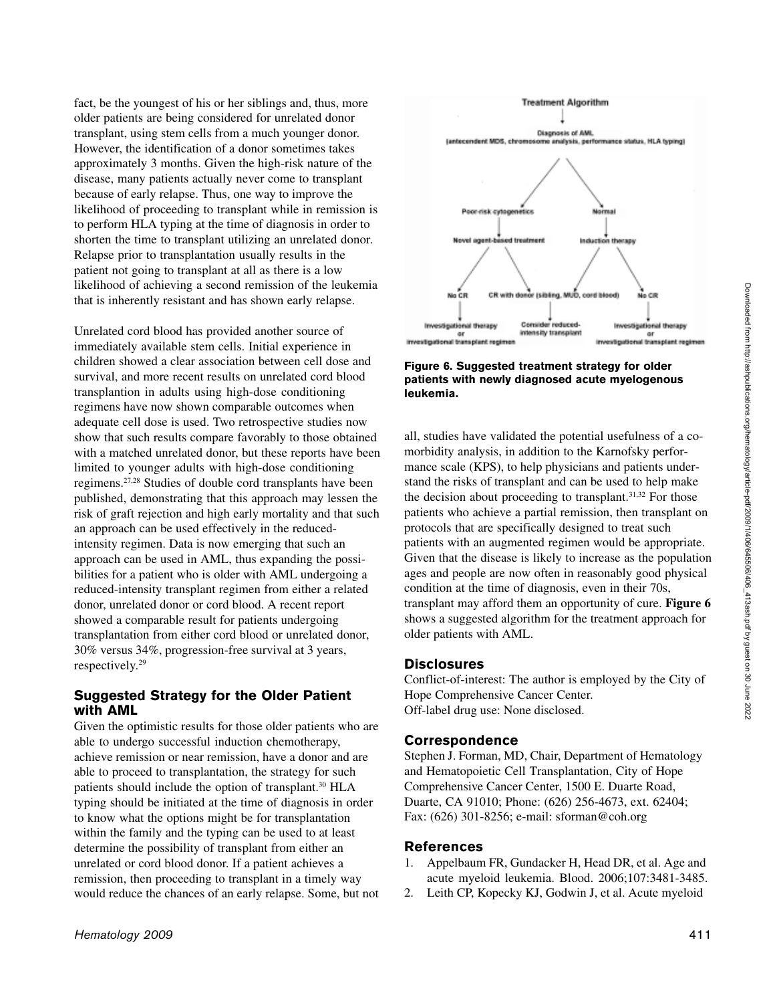fact, be the youngest of his or her siblings and, thus, more older patients are being considered for unrelated donor transplant, using stem cells from a much younger donor. However, the identification of a donor sometimes takes approximately 3 months. Given the high-risk nature of the disease, many patients actually never come to transplant because of early relapse. Thus, one way to improve the likelihood of proceeding to transplant while in remission is to perform HLA typing at the time of diagnosis in order to shorten the time to transplant utilizing an unrelated donor. Relapse prior to transplantation usually results in the patient not going to transplant at all as there is a low likelihood of achieving a second remission of the leukemia that is inherently resistant and has shown early relapse.

Unrelated cord blood has provided another source of immediately available stem cells. Initial experience in children showed a clear association between cell dose and survival, and more recent results on unrelated cord blood transplantion in adults using high-dose conditioning regimens have now shown comparable outcomes when adequate cell dose is used. Two retrospective studies now show that such results compare favorably to those obtained with a matched unrelated donor, but these reports have been limited to younger adults with high-dose conditioning regimens.27,28 Studies of double cord transplants have been published, demonstrating that this approach may lessen the risk of graft rejection and high early mortality and that such an approach can be used effectively in the reducedintensity regimen. Data is now emerging that such an approach can be used in AML, thus expanding the possibilities for a patient who is older with AML undergoing a reduced-intensity transplant regimen from either a related donor, unrelated donor or cord blood. A recent report showed a comparable result for patients undergoing transplantation from either cord blood or unrelated donor, 30% versus 34%, progression-free survival at 3 years, respectively.29

## **Suggested Strategy for the Older Patient with AML**

Given the optimistic results for those older patients who are able to undergo successful induction chemotherapy, achieve remission or near remission, have a donor and are able to proceed to transplantation, the strategy for such patients should include the option of transplant.<sup>30</sup> HLA typing should be initiated at the time of diagnosis in order to know what the options might be for transplantation within the family and the typing can be used to at least determine the possibility of transplant from either an unrelated or cord blood donor. If a patient achieves a remission, then proceeding to transplant in a timely way would reduce the chances of an early relapse. Some, but not



#### **Figure 6. Suggested treatment strategy for older patients with newly diagnosed acute myelogenous leukemia.**

all, studies have validated the potential usefulness of a comorbidity analysis, in addition to the Karnofsky performance scale (KPS), to help physicians and patients understand the risks of transplant and can be used to help make the decision about proceeding to transplant.<sup>31,32</sup> For those patients who achieve a partial remission, then transplant on protocols that are specifically designed to treat such patients with an augmented regimen would be appropriate. Given that the disease is likely to increase as the population ages and people are now often in reasonably good physical condition at the time of diagnosis, even in their 70s, transplant may afford them an opportunity of cure. **Figure 6** shows a suggested algorithm for the treatment approach for older patients with AML.

#### **Disclosures**

Conflict-of-interest: The author is employed by the City of Hope Comprehensive Cancer Center. Off-label drug use: None disclosed.

## **Correspondence**

Stephen J. Forman, MD, Chair, Department of Hematology and Hematopoietic Cell Transplantation, City of Hope Comprehensive Cancer Center, 1500 E. Duarte Road, Duarte, CA 91010; Phone: (626) 256-4673, ext. 62404; Fax: (626) 301-8256; e-mail: sforman@coh.org

#### **References**

- 1. Appelbaum FR, Gundacker H, Head DR, et al. Age and acute myeloid leukemia. Blood. 2006;107:3481-3485.
- 2. Leith CP, Kopecky KJ, Godwin J, et al. Acute myeloid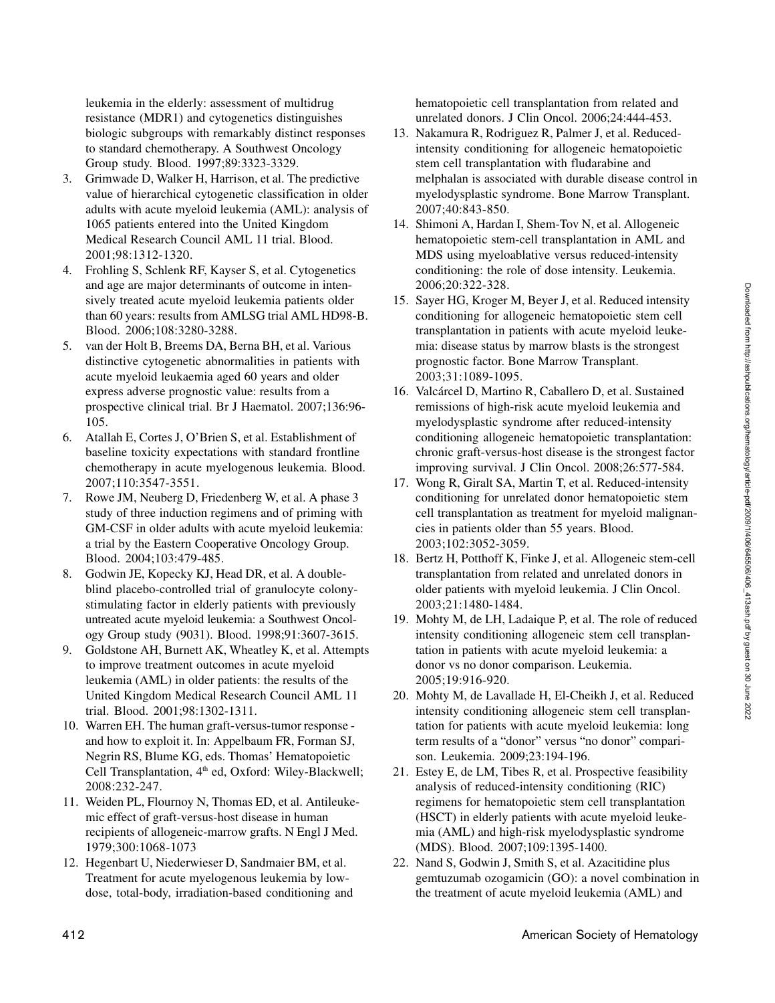leukemia in the elderly: assessment of multidrug resistance (MDR1) and cytogenetics distinguishes biologic subgroups with remarkably distinct responses to standard chemotherapy. A Southwest Oncology Group study. Blood. 1997;89:3323-3329.

- 3. Grimwade D, Walker H, Harrison, et al. The predictive value of hierarchical cytogenetic classification in older adults with acute myeloid leukemia (AML): analysis of 1065 patients entered into the United Kingdom Medical Research Council AML 11 trial. Blood. 2001;98:1312-1320.
- 4. Frohling S, Schlenk RF, Kayser S, et al. Cytogenetics and age are major determinants of outcome in intensively treated acute myeloid leukemia patients older than 60 years: results from AMLSG trial AML HD98-B. Blood. 2006;108:3280-3288.
- 5. van der Holt B, Breems DA, Berna BH, et al. Various distinctive cytogenetic abnormalities in patients with acute myeloid leukaemia aged 60 years and older express adverse prognostic value: results from a prospective clinical trial. Br J Haematol. 2007;136:96- 105.
- 6. Atallah E, Cortes J, O'Brien S, et al. Establishment of baseline toxicity expectations with standard frontline chemotherapy in acute myelogenous leukemia. Blood. 2007;110:3547-3551.
- 7. Rowe JM, Neuberg D, Friedenberg W, et al. A phase 3 study of three induction regimens and of priming with GM-CSF in older adults with acute myeloid leukemia: a trial by the Eastern Cooperative Oncology Group. Blood. 2004;103:479-485.
- 8. Godwin JE, Kopecky KJ, Head DR, et al. A doubleblind placebo-controlled trial of granulocyte colonystimulating factor in elderly patients with previously untreated acute myeloid leukemia: a Southwest Oncology Group study (9031). Blood. 1998;91:3607-3615.
- 9. Goldstone AH, Burnett AK, Wheatley K, et al. Attempts to improve treatment outcomes in acute myeloid leukemia (AML) in older patients: the results of the United Kingdom Medical Research Council AML 11 trial. Blood. 2001;98:1302-1311.
- 10. Warren EH. The human graft-versus-tumor response and how to exploit it. In: Appelbaum FR, Forman SJ, Negrin RS, Blume KG, eds. Thomas' Hematopoietic Cell Transplantation, 4<sup>th</sup> ed, Oxford: Wiley-Blackwell; 2008:232-247.
- 11. Weiden PL, Flournoy N, Thomas ED, et al. Antileukemic effect of graft-versus-host disease in human recipients of allogeneic-marrow grafts. N Engl J Med. 1979;300:1068-1073
- 12. Hegenbart U, Niederwieser D, Sandmaier BM, et al. Treatment for acute myelogenous leukemia by lowdose, total-body, irradiation-based conditioning and

hematopoietic cell transplantation from related and unrelated donors. J Clin Oncol. 2006;24:444-453.

- 13. Nakamura R, Rodriguez R, Palmer J, et al. Reducedintensity conditioning for allogeneic hematopoietic stem cell transplantation with fludarabine and melphalan is associated with durable disease control in myelodysplastic syndrome. Bone Marrow Transplant. 2007;40:843-850.
- 14. Shimoni A, Hardan I, Shem-Tov N, et al. Allogeneic hematopoietic stem-cell transplantation in AML and MDS using myeloablative versus reduced-intensity conditioning: the role of dose intensity. Leukemia. 2006;20:322-328.
- 15. Sayer HG, Kroger M, Beyer J, et al. Reduced intensity conditioning for allogeneic hematopoietic stem cell transplantation in patients with acute myeloid leukemia: disease status by marrow blasts is the strongest prognostic factor. Bone Marrow Transplant. 2003;31:1089-1095.
- 16. Valcárcel D, Martino R, Caballero D, et al. Sustained remissions of high-risk acute myeloid leukemia and myelodysplastic syndrome after reduced-intensity conditioning allogeneic hematopoietic transplantation: chronic graft-versus-host disease is the strongest factor improving survival. J Clin Oncol. 2008;26:577-584.
- 17. Wong R, Giralt SA, Martin T, et al. Reduced-intensity conditioning for unrelated donor hematopoietic stem cell transplantation as treatment for myeloid malignancies in patients older than 55 years. Blood. 2003;102:3052-3059.
- 18. Bertz H, Potthoff K, Finke J, et al. Allogeneic stem-cell transplantation from related and unrelated donors in older patients with myeloid leukemia. J Clin Oncol. 2003;21:1480-1484.
- 19. Mohty M, de LH, Ladaique P, et al. The role of reduced intensity conditioning allogeneic stem cell transplantation in patients with acute myeloid leukemia: a donor vs no donor comparison. Leukemia. 2005;19:916-920.
- 20. Mohty M, de Lavallade H, El-Cheikh J, et al. Reduced intensity conditioning allogeneic stem cell transplantation for patients with acute myeloid leukemia: long term results of a "donor" versus "no donor" comparison. Leukemia. 2009;23:194-196.
- 21. Estey E, de LM, Tibes R, et al. Prospective feasibility analysis of reduced-intensity conditioning (RIC) regimens for hematopoietic stem cell transplantation (HSCT) in elderly patients with acute myeloid leukemia (AML) and high-risk myelodysplastic syndrome (MDS). Blood. 2007;109:1395-1400.
- 22. Nand S, Godwin J, Smith S, et al. Azacitidine plus gemtuzumab ozogamicin (GO): a novel combination in the treatment of acute myeloid leukemia (AML) and